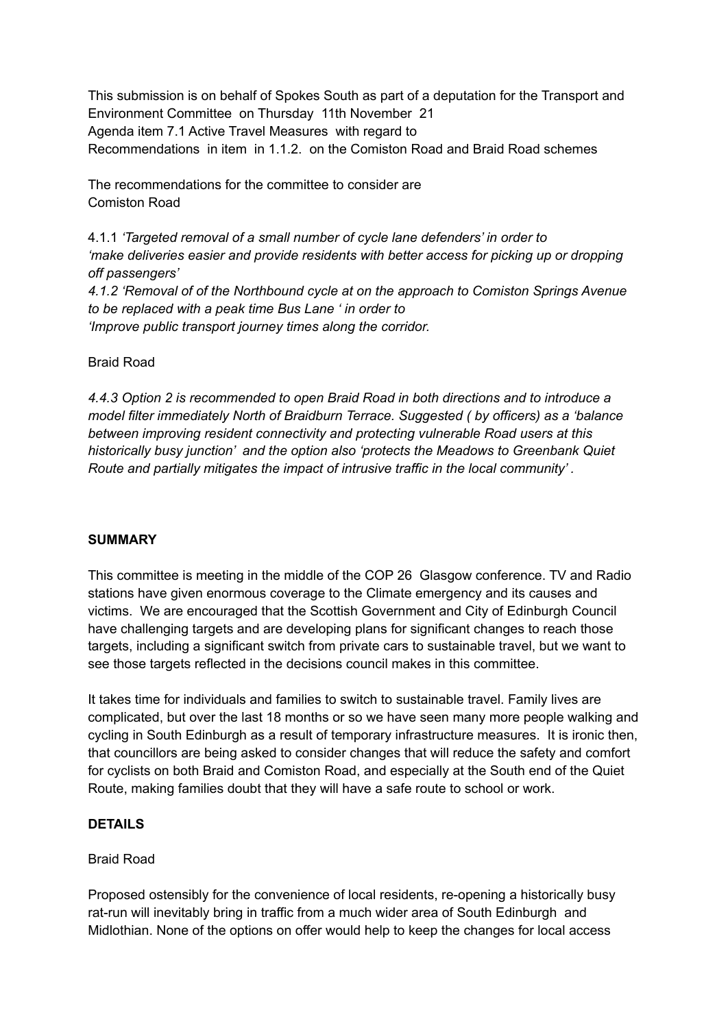This submission is on behalf of Spokes South as part of a deputation for the Transport and Environment Committee on Thursday 11th November 21 Agenda item 7.1 Active Travel Measures with regard to Recommendations in item in 1.1.2. on the Comiston Road and Braid Road schemes

The recommendations for the committee to consider are Comiston Road

4.1.1 *'Targeted removal of a small number of cycle lane defenders' in order to 'make deliveries easier and provide residents with better access for picking up or dropping off passengers'*

*4.1.2 'Removal of of the Northbound cycle at on the approach to Comiston Springs Avenue to be replaced with a peak time Bus Lane ' in order to 'Improve public transport journey times along the corridor.*

Braid Road

*4.4.3 Option 2 is recommended to open Braid Road in both directions and to introduce a model filter immediately North of Braidburn Terrace. Suggested ( by officers) as a 'balance between improving resident connectivity and protecting vulnerable Road users at this historically busy junction' and the option also 'protects the Meadows to Greenbank Quiet Route and partially mitigates the impact of intrusive traffic in the local community' .*

# **SUMMARY**

This committee is meeting in the middle of the COP 26 Glasgow conference. TV and Radio stations have given enormous coverage to the Climate emergency and its causes and victims. We are encouraged that the Scottish Government and City of Edinburgh Council have challenging targets and are developing plans for significant changes to reach those targets, including a significant switch from private cars to sustainable travel, but we want to see those targets reflected in the decisions council makes in this committee.

It takes time for individuals and families to switch to sustainable travel. Family lives are complicated, but over the last 18 months or so we have seen many more people walking and cycling in South Edinburgh as a result of temporary infrastructure measures. It is ironic then, that councillors are being asked to consider changes that will reduce the safety and comfort for cyclists on both Braid and Comiston Road, and especially at the South end of the Quiet Route, making families doubt that they will have a safe route to school or work.

# **DETAILS**

### Braid Road

Proposed ostensibly for the convenience of local residents, re-opening a historically busy rat-run will inevitably bring in traffic from a much wider area of South Edinburgh and Midlothian. None of the options on offer would help to keep the changes for local access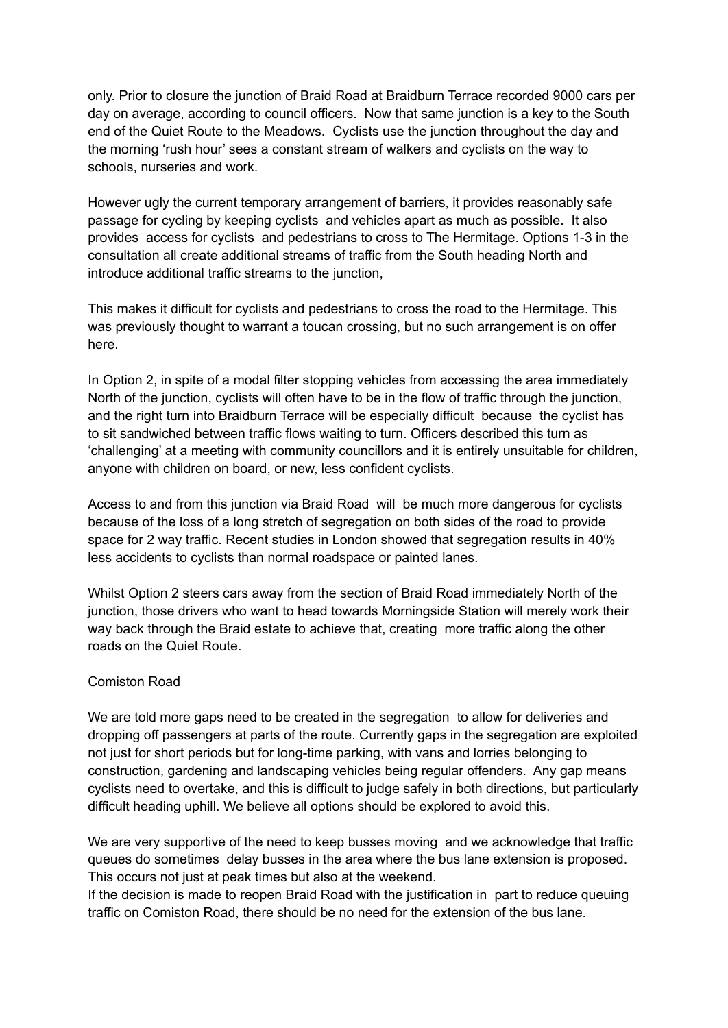only. Prior to closure the junction of Braid Road at Braidburn Terrace recorded 9000 cars per day on average, according to council officers. Now that same junction is a key to the South end of the Quiet Route to the Meadows. Cyclists use the junction throughout the day and the morning 'rush hour' sees a constant stream of walkers and cyclists on the way to schools, nurseries and work.

However ugly the current temporary arrangement of barriers, it provides reasonably safe passage for cycling by keeping cyclists and vehicles apart as much as possible. It also provides access for cyclists and pedestrians to cross to The Hermitage. Options 1-3 in the consultation all create additional streams of traffic from the South heading North and introduce additional traffic streams to the junction,

This makes it difficult for cyclists and pedestrians to cross the road to the Hermitage. This was previously thought to warrant a toucan crossing, but no such arrangement is on offer here.

In Option 2, in spite of a modal filter stopping vehicles from accessing the area immediately North of the junction, cyclists will often have to be in the flow of traffic through the junction, and the right turn into Braidburn Terrace will be especially difficult because the cyclist has to sit sandwiched between traffic flows waiting to turn. Officers described this turn as 'challenging' at a meeting with community councillors and it is entirely unsuitable for children, anyone with children on board, or new, less confident cyclists.

Access to and from this junction via Braid Road will be much more dangerous for cyclists because of the loss of a long stretch of segregation on both sides of the road to provide space for 2 way traffic. Recent studies in London showed that segregation results in 40% less accidents to cyclists than normal roadspace or painted lanes.

Whilst Option 2 steers cars away from the section of Braid Road immediately North of the junction, those drivers who want to head towards Morningside Station will merely work their way back through the Braid estate to achieve that, creating more traffic along the other roads on the Quiet Route.

### Comiston Road

We are told more gaps need to be created in the segregation to allow for deliveries and dropping off passengers at parts of the route. Currently gaps in the segregation are exploited not just for short periods but for long-time parking, with vans and lorries belonging to construction, gardening and landscaping vehicles being regular offenders. Any gap means cyclists need to overtake, and this is difficult to judge safely in both directions, but particularly difficult heading uphill. We believe all options should be explored to avoid this.

We are very supportive of the need to keep busses moving and we acknowledge that traffic queues do sometimes delay busses in the area where the bus lane extension is proposed. This occurs not just at peak times but also at the weekend.

If the decision is made to reopen Braid Road with the justification in part to reduce queuing traffic on Comiston Road, there should be no need for the extension of the bus lane.